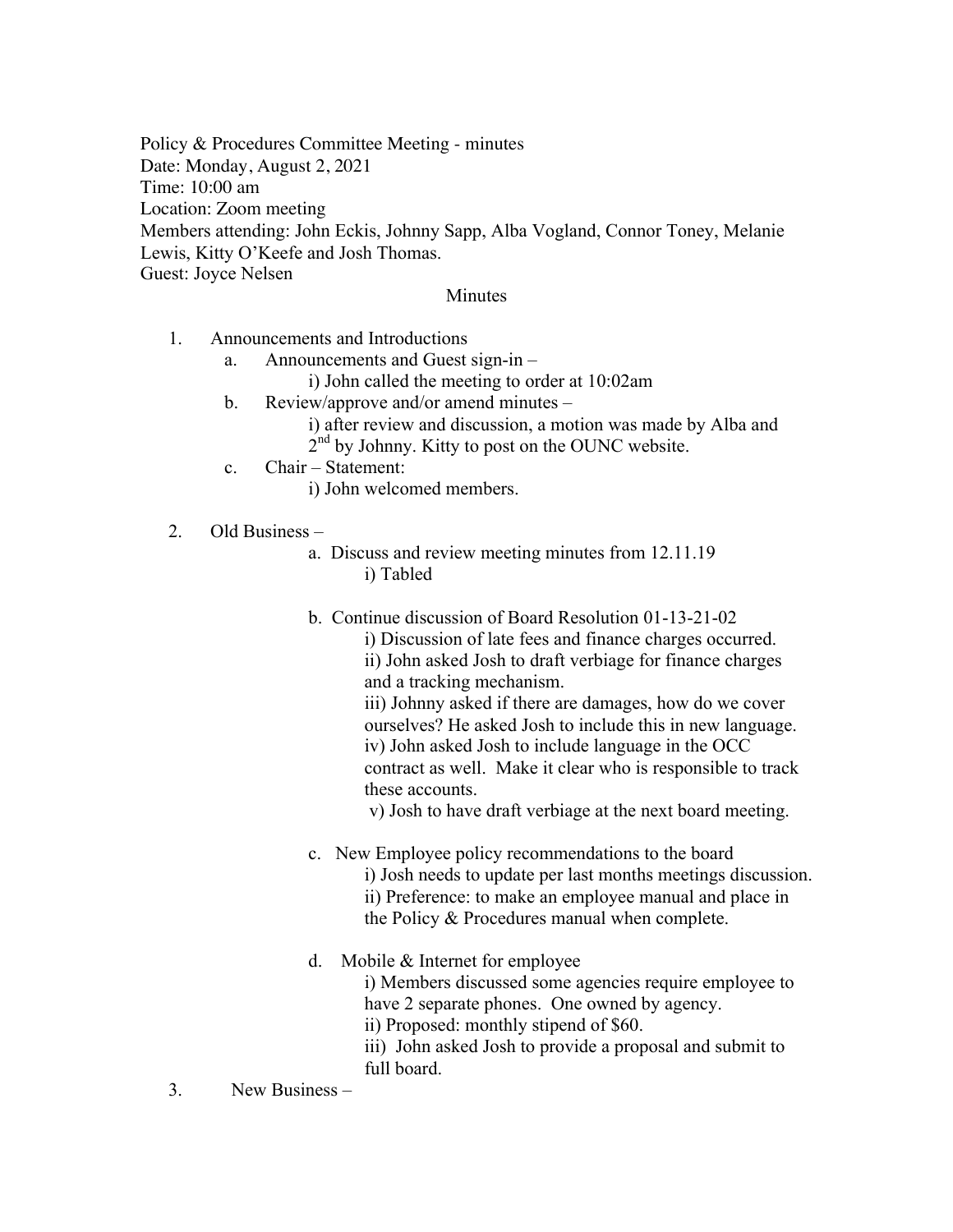Policy & Procedures Committee Meeting - minutes Date: Monday, August 2, 2021 Time: 10:00 am Location: Zoom meeting Members attending: John Eckis, Johnny Sapp, Alba Vogland, Connor Toney, Melanie Lewis, Kitty O'Keefe and Josh Thomas. Guest: Joyce Nelsen

## **Minutes**

- 1. Announcements and Introductions
	- a. Announcements and Guest sign-in
		- i) John called the meeting to order at 10:02am
	- b. Review/approve and/or amend minutes
		- i) after review and discussion, a motion was made by Alba and 2<sup>nd</sup> by Johnny. Kitty to post on the OUNC website.
	- c. Chair Statement:
		- i) John welcomed members.
- 2. Old Business
	- a. Discuss and review meeting minutes from 12.11.19 i) Tabled
	- b. Continue discussion of Board Resolution 01-13-21-02 i) Discussion of late fees and finance charges occurred. ii) John asked Josh to draft verbiage for finance charges and a tracking mechanism.

iii) Johnny asked if there are damages, how do we cover ourselves? He asked Josh to include this in new language. iv) John asked Josh to include language in the OCC contract as well. Make it clear who is responsible to track these accounts.

v) Josh to have draft verbiage at the next board meeting.

- c. New Employee policy recommendations to the board i) Josh needs to update per last months meetings discussion. ii) Preference: to make an employee manual and place in the Policy & Procedures manual when complete.
- d. Mobile & Internet for employee i) Members discussed some agencies require employee to have 2 separate phones. One owned by agency. ii) Proposed: monthly stipend of \$60. iii) John asked Josh to provide a proposal and submit to full board.
- 3. New Business –